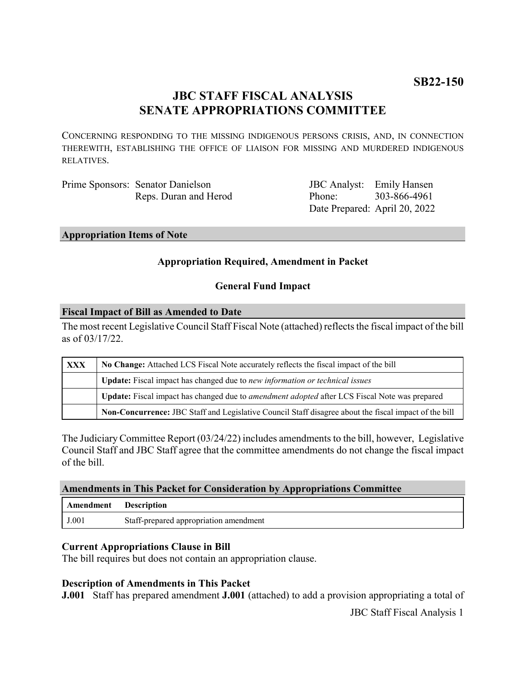# **JBC STAFF FISCAL ANALYSIS SENATE APPROPRIATIONS COMMITTEE**

CONCERNING RESPONDING TO THE MISSING INDIGENOUS PERSONS CRISIS, AND, IN CONNECTION THEREWITH, ESTABLISHING THE OFFICE OF LIAISON FOR MISSING AND MURDERED INDIGENOUS RELATIVES.

| Prime Sponsors: Senator Danielson |
|-----------------------------------|
| Reps. Duran and Herod             |

JBC Analyst: Emily Hansen Phone: Date Prepared: April 20, 2022 303-866-4961

#### **Appropriation Items of Note**

## **Appropriation Required, Amendment in Packet**

### **General Fund Impact**

#### **Fiscal Impact of Bill as Amended to Date**

The most recent Legislative Council Staff Fiscal Note (attached) reflects the fiscal impact of the bill as of 03/17/22.

| <b>XXX</b> | No Change: Attached LCS Fiscal Note accurately reflects the fiscal impact of the bill                 |  |
|------------|-------------------------------------------------------------------------------------------------------|--|
|            | <b>Update:</b> Fiscal impact has changed due to new information or technical issues                   |  |
|            | Update: Fiscal impact has changed due to <i>amendment adopted</i> after LCS Fiscal Note was prepared  |  |
|            | Non-Concurrence: JBC Staff and Legislative Council Staff disagree about the fiscal impact of the bill |  |

The Judiciary Committee Report (03/24/22) includes amendments to the bill, however, Legislative Council Staff and JBC Staff agree that the committee amendments do not change the fiscal impact of the bill.

### **Amendments in This Packet for Consideration by Appropriations Committee**

| Amendment | <b>Description</b>                     |
|-----------|----------------------------------------|
| J.001     | Staff-prepared appropriation amendment |

### **Current Appropriations Clause in Bill**

The bill requires but does not contain an appropriation clause.

### **Description of Amendments in This Packet**

**J.001** Staff has prepared amendment **J.001** (attached) to add a provision appropriating a total of

JBC Staff Fiscal Analysis 1